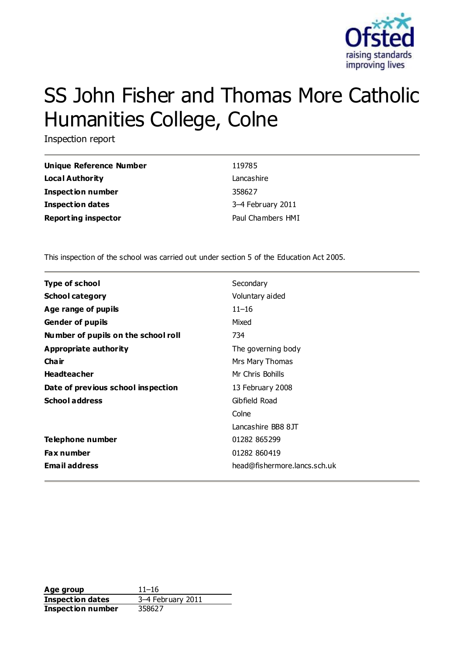

# SS John Fisher and Thomas More Catholic Humanities College, Colne

Inspection report

| Unique Reference Number    | 119785            |
|----------------------------|-------------------|
| Local Authority            | Lancashire        |
| <b>Inspection number</b>   | 358627            |
| <b>Inspection dates</b>    | 3-4 February 2011 |
| <b>Reporting inspector</b> | Paul Chambers HMI |

This inspection of the school was carried out under section 5 of the Education Act 2005.

| <b>Type of school</b>               | Secondary                    |
|-------------------------------------|------------------------------|
| <b>School category</b>              | Voluntary aided              |
| Age range of pupils                 | $11 - 16$                    |
| <b>Gender of pupils</b>             | Mixed                        |
| Number of pupils on the school roll | 734                          |
| Appropriate authority               | The governing body           |
| Cha ir                              | Mrs Mary Thomas              |
| <b>Headteacher</b>                  | Mr Chris Bohills             |
| Date of previous school inspection  | 13 February 2008             |
| <b>School address</b>               | Gibfield Road                |
|                                     | Colne                        |
|                                     | Lancashire BB8 8JT           |
| Telephone number                    | 01282 865299                 |
| <b>Fax number</b>                   | 01282 860419                 |
| <b>Email address</b>                | head@fishermore.lancs.sch.uk |

**Age group** 11–16 **Inspection dates** 3–4 February 2011 **Inspection number** 358627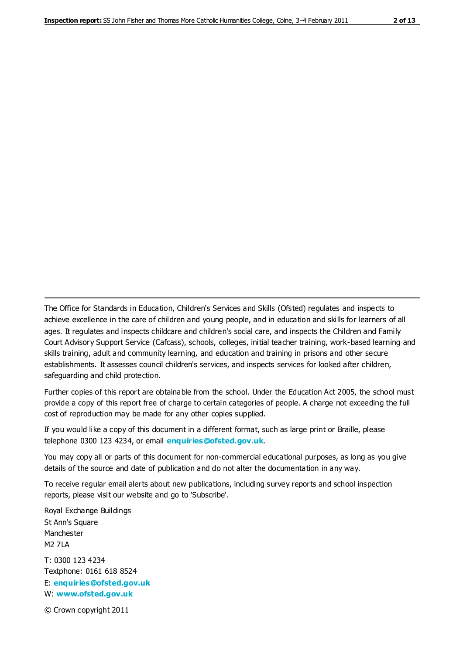The Office for Standards in Education, Children's Services and Skills (Ofsted) regulates and inspects to achieve excellence in the care of children and young people, and in education and skills for learners of all ages. It regulates and inspects childcare and children's social care, and inspects the Children and Family Court Advisory Support Service (Cafcass), schools, colleges, initial teacher training, work-based learning and skills training, adult and community learning, and education and training in prisons and other secure establishments. It assesses council children's services, and inspects services for looked after children, safeguarding and child protection.

Further copies of this report are obtainable from the school. Under the Education Act 2005, the school must provide a copy of this report free of charge to certain categories of people. A charge not exceeding the full cost of reproduction may be made for any other copies supplied.

If you would like a copy of this document in a different format, such as large print or Braille, please telephone 0300 123 4234, or email **[enquiries@ofsted.gov.uk](mailto:enquiries@ofsted.gov.uk)**.

You may copy all or parts of this document for non-commercial educational purposes, as long as you give details of the source and date of publication and do not alter the documentation in any way.

To receive regular email alerts about new publications, including survey reports and school inspection reports, please visit our website and go to 'Subscribe'.

Royal Exchange Buildings St Ann's Square Manchester M2 7LA T: 0300 123 4234 Textphone: 0161 618 8524 E: **[enquiries@ofsted.gov.uk](mailto:enquiries@ofsted.gov.uk)**

W: **[www.ofsted.gov.uk](http://www.ofsted.gov.uk/)**

© Crown copyright 2011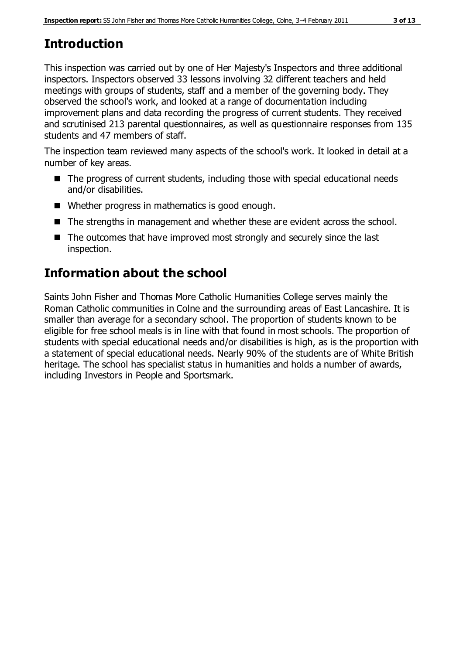# **Introduction**

This inspection was carried out by one of Her Majesty's Inspectors and three additional inspectors. Inspectors observed 33 lessons involving 32 different teachers and held meetings with groups of students, staff and a member of the governing body. They observed the school's work, and looked at a range of documentation including improvement plans and data recording the progress of current students. They received and scrutinised 213 parental questionnaires, as well as questionnaire responses from 135 students and 47 members of staff.

The inspection team reviewed many aspects of the school's work. It looked in detail at a number of key areas.

- The progress of current students, including those with special educational needs and/or disabilities.
- Whether progress in mathematics is good enough.
- The strengths in management and whether these are evident across the school.
- The outcomes that have improved most strongly and securely since the last inspection.

# **Information about the school**

Saints John Fisher and Thomas More Catholic Humanities College serves mainly the Roman Catholic communities in Colne and the surrounding areas of East Lancashire. It is smaller than average for a secondary school. The proportion of students known to be eligible for free school meals is in line with that found in most schools. The proportion of students with special educational needs and/or disabilities is high, as is the proportion with a statement of special educational needs. Nearly 90% of the students are of White British heritage. The school has specialist status in humanities and holds a number of awards, including Investors in People and Sportsmark.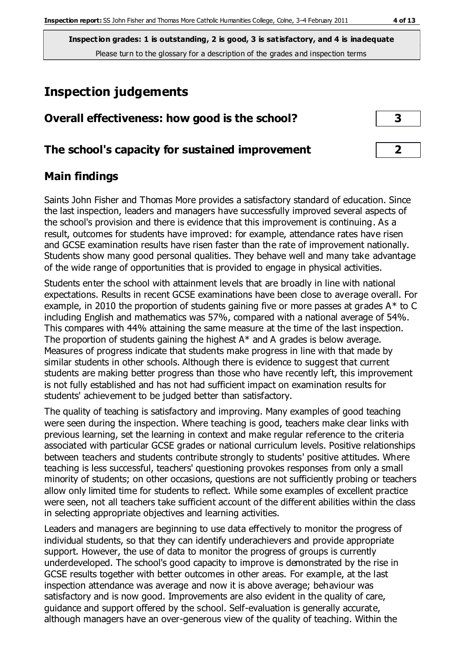# **Inspection judgements**

| Overall effectiveness: how good is the school?  |  |
|-------------------------------------------------|--|
| The school's capacity for sustained improvement |  |

## **Main findings**

Saints John Fisher and Thomas More provides a satisfactory standard of education. Since the last inspection, leaders and managers have successfully improved several aspects of the school's provision and there is evidence that this improvement is continuing. As a result, outcomes for students have improved: for example, attendance rates have risen and GCSE examination results have risen faster than the rate of improvement nationally. Students show many good personal qualities. They behave well and many take advantage of the wide range of opportunities that is provided to engage in physical activities.

Students enter the school with attainment levels that are broadly in line with national expectations. Results in recent GCSE examinations have been close to average overall. For example, in 2010 the proportion of students gaining five or more passes at grades A\* to C including English and mathematics was 57%, compared with a national average of 54%. This compares with 44% attaining the same measure at the time of the last inspection. The proportion of students gaining the highest A\* and A grades is below average. Measures of progress indicate that students make progress in line with that made by similar students in other schools. Although there is evidence to suggest that current students are making better progress than those who have recently left, this improvement is not fully established and has not had sufficient impact on examination results for students' achievement to be judged better than satisfactory.

The quality of teaching is satisfactory and improving. Many examples of good teaching were seen during the inspection. Where teaching is good, teachers make clear links with previous learning, set the learning in context and make regular reference to the criteria associated with particular GCSE grades or national curriculum levels. Positive relationships between teachers and students contribute strongly to students' positive attitudes. Where teaching is less successful, teachers' questioning provokes responses from only a small minority of students; on other occasions, questions are not sufficiently probing or teachers allow only limited time for students to reflect. While some examples of excellent practice were seen, not all teachers take sufficient account of the different abilities within the class in selecting appropriate objectives and learning activities.

Leaders and managers are beginning to use data effectively to monitor the progress of individual students, so that they can identify underachievers and provide appropriate support. However, the use of data to monitor the progress of groups is currently underdeveloped. The school's good capacity to improve is demonstrated by the rise in GCSE results together with better outcomes in other areas. For example, at the last inspection attendance was average and now it is above average; behaviour was satisfactory and is now good. Improvements are also evident in the quality of care, guidance and support offered by the school. Self-evaluation is generally accurate, although managers have an over-generous view of the quality of teaching. Within the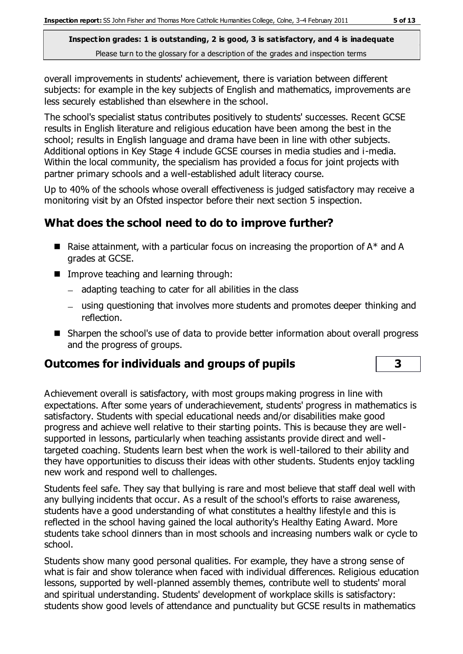overall improvements in students' achievement, there is variation between different subjects: for example in the key subjects of English and mathematics, improvements are less securely established than elsewhere in the school.

The school's specialist status contributes positively to students' successes. Recent GCSE results in English literature and religious education have been among the best in the school; results in English language and drama have been in line with other subjects. Additional options in Key Stage 4 include GCSE courses in media studies and i-media. Within the local community, the specialism has provided a focus for joint projects with partner primary schools and a well-established adult literacy course.

Up to 40% of the schools whose overall effectiveness is judged satisfactory may receive a monitoring visit by an Ofsted inspector before their next section 5 inspection.

# **What does the school need to do to improve further?**

- **E** Raise attainment, with a particular focus on increasing the proportion of  $A^*$  and A grades at GCSE.
- **IMPROVE teaching and learning through:** 
	- $-$  adapting teaching to cater for all abilities in the class
	- using questioning that involves more students and promotes deeper thinking and reflection.
- Sharpen the school's use of data to provide better information about overall progress and the progress of groups.

## **Outcomes for individuals and groups of pupils 3**

Achievement overall is satisfactory, with most groups making progress in line with expectations. After some years of underachievement, students' progress in mathematics is satisfactory. Students with special educational needs and/or disabilities make good progress and achieve well relative to their starting points. This is because they are wellsupported in lessons, particularly when teaching assistants provide direct and welltargeted coaching. Students learn best when the work is well-tailored to their ability and they have opportunities to discuss their ideas with other students. Students enjoy tackling new work and respond well to challenges.

Students feel safe. They say that bullying is rare and most believe that staff deal well with any bullying incidents that occur. As a result of the school's efforts to raise awareness, students have a good understanding of what constitutes a healthy lifestyle and this is reflected in the school having gained the local authority's Healthy Eating Award. More students take school dinners than in most schools and increasing numbers walk or cycle to school.

Students show many good personal qualities. For example, they have a strong sense of what is fair and show tolerance when faced with individual differences. Religious education lessons, supported by well-planned assembly themes, contribute well to students' moral and spiritual understanding. Students' development of workplace skills is satisfactory: students show good levels of attendance and punctuality but GCSE results in mathematics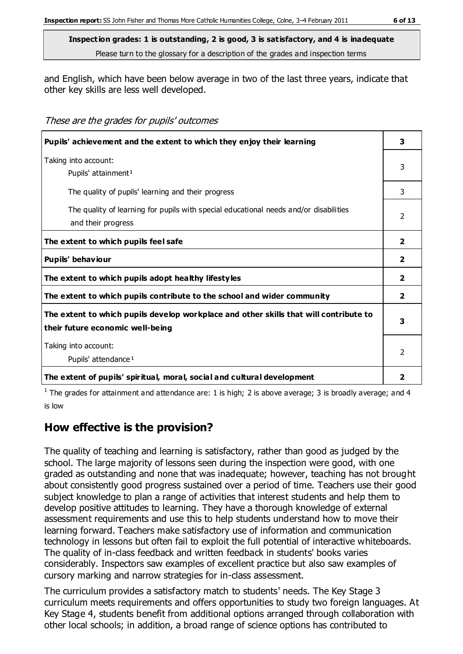and English, which have been below average in two of the last three years, indicate that other key skills are less well developed.

These are the grades for pupils' outcomes

| Pupils' achievement and the extent to which they enjoy their learning                                                     |                |  |
|---------------------------------------------------------------------------------------------------------------------------|----------------|--|
| Taking into account:<br>Pupils' attainment <sup>1</sup>                                                                   |                |  |
| The quality of pupils' learning and their progress                                                                        | 3              |  |
| The quality of learning for pupils with special educational needs and/or disabilities<br>and their progress               | $\mathcal{P}$  |  |
| The extent to which pupils feel safe                                                                                      | $\overline{2}$ |  |
| Pupils' behaviour                                                                                                         | $\mathbf{2}$   |  |
| The extent to which pupils adopt healthy lifestyles                                                                       | $\overline{2}$ |  |
| The extent to which pupils contribute to the school and wider community                                                   | $\overline{2}$ |  |
| The extent to which pupils develop workplace and other skills that will contribute to<br>their future economic well-being | 3              |  |
| Taking into account:<br>Pupils' attendance <sup>1</sup>                                                                   |                |  |
| The extent of pupils' spiritual, moral, social and cultural development                                                   | $\overline{2}$ |  |

<sup>1</sup> The grades for attainment and attendance are: 1 is high; 2 is above average; 3 is broadly average; and 4 is low

## **How effective is the provision?**

The quality of teaching and learning is satisfactory, rather than good as judged by the school. The large majority of lessons seen during the inspection were good, with one graded as outstanding and none that was inadequate; however, teaching has not brought about consistently good progress sustained over a period of time. Teachers use their good subject knowledge to plan a range of activities that interest students and help them to develop positive attitudes to learning. They have a thorough knowledge of external assessment requirements and use this to help students understand how to move their learning forward. Teachers make satisfactory use of information and communication technology in lessons but often fail to exploit the full potential of interactive whiteboards. The quality of in-class feedback and written feedback in students' books varies considerably. Inspectors saw examples of excellent practice but also saw examples of cursory marking and narrow strategies for in-class assessment.

The curriculum provides a satisfactory match to students' needs. The Key Stage 3 curriculum meets requirements and offers opportunities to study two foreign languages. At Key Stage 4, students benefit from additional options arranged through collaboration with other local schools; in addition, a broad range of science options has contributed to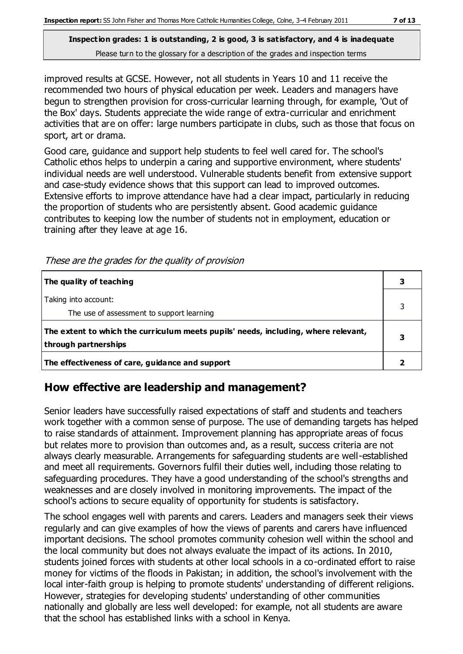improved results at GCSE. However, not all students in Years 10 and 11 receive the recommended two hours of physical education per week. Leaders and managers have begun to strengthen provision for cross-curricular learning through, for example, 'Out of the Box' days. Students appreciate the wide range of extra-curricular and enrichment activities that are on offer: large numbers participate in clubs, such as those that focus on sport, art or drama.

Good care, guidance and support help students to feel well cared for. The school's Catholic ethos helps to underpin a caring and supportive environment, where students' individual needs are well understood. Vulnerable students benefit from extensive support and case-study evidence shows that this support can lead to improved outcomes. Extensive efforts to improve attendance have had a clear impact, particularly in reducing the proportion of students who are persistently absent. Good academic guidance contributes to keeping low the number of students not in employment, education or training after they leave at age 16.

| The quality of teaching                                                                                    |  |
|------------------------------------------------------------------------------------------------------------|--|
| Taking into account:<br>The use of assessment to support learning                                          |  |
| The extent to which the curriculum meets pupils' needs, including, where relevant,<br>through partnerships |  |
| The effectiveness of care, guidance and support                                                            |  |

## **How effective are leadership and management?**

Senior leaders have successfully raised expectations of staff and students and teachers work together with a common sense of purpose. The use of demanding targets has helped to raise standards of attainment. Improvement planning has appropriate areas of focus but relates more to provision than outcomes and, as a result, success criteria are not always clearly measurable. Arrangements for safeguarding students are well-established and meet all requirements. Governors fulfil their duties well, including those relating to safeguarding procedures. They have a good understanding of the school's strengths and weaknesses and are closely involved in monitoring improvements. The impact of the school's actions to secure equality of opportunity for students is satisfactory.

The school engages well with parents and carers. Leaders and managers seek their views regularly and can give examples of how the views of parents and carers have influenced important decisions. The school promotes community cohesion well within the school and the local community but does not always evaluate the impact of its actions. In 2010, students joined forces with students at other local schools in a co-ordinated effort to raise money for victims of the floods in Pakistan; in addition, the school's involvement with the local inter-faith group is helping to promote students' understanding of different religions. However, strategies for developing students' understanding of other communities nationally and globally are less well developed: for example, not all students are aware that the school has established links with a school in Kenya.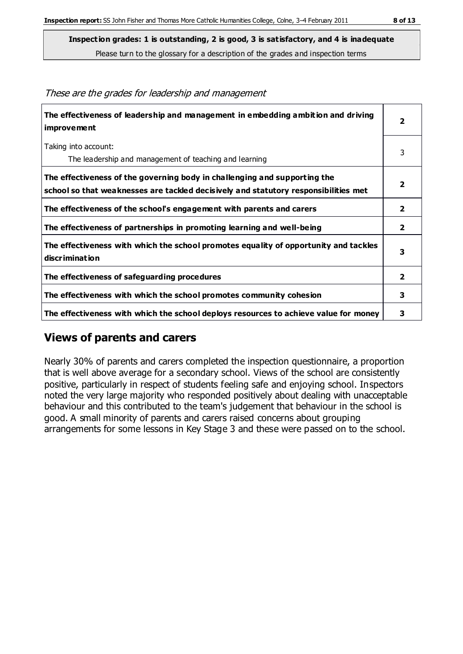**The effectiveness of leadership and management in embedding ambition and driving improvement 2** Taking into account: The leadership and management of teaching and learning 3 **The effectiveness of the governing body in challenging and supporting the school so that weaknesses are tackled decisively and statutory responsibilities met 2 The effectiveness of the school's engagement with parents and carers 2 The effectiveness of partnerships in promoting learning and well-being 2 The effectiveness with which the school promotes equality of opportunity and tackles discrimination 3 The effectiveness of safeguarding procedures 2 The effectiveness with which the school promotes community cohesion 3 The effectiveness with which the school deploys resources to achieve value for money 3**

#### These are the grades for leadership and management

## **Views of parents and carers**

Nearly 30% of parents and carers completed the inspection questionnaire, a proportion that is well above average for a secondary school. Views of the school are consistently positive, particularly in respect of students feeling safe and enjoying school. Inspectors noted the very large majority who responded positively about dealing with unacceptable behaviour and this contributed to the team's judgement that behaviour in the school is good. A small minority of parents and carers raised concerns about grouping arrangements for some lessons in Key Stage 3 and these were passed on to the school.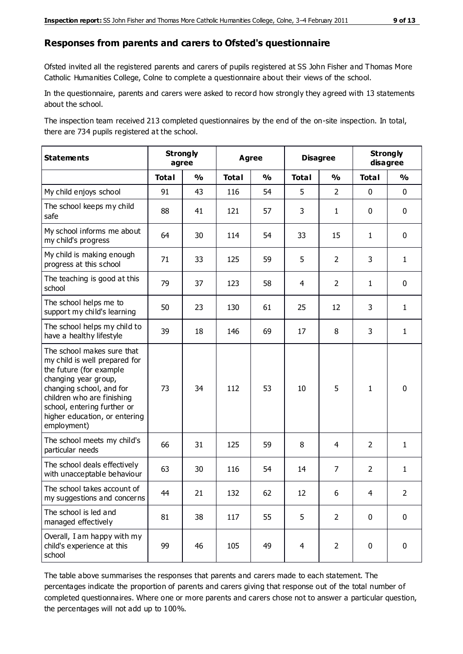#### **Responses from parents and carers to Ofsted's questionnaire**

Ofsted invited all the registered parents and carers of pupils registered at SS John Fisher and Thomas More Catholic Humanities College, Colne to complete a questionnaire about their views of the school.

In the questionnaire, parents and carers were asked to record how strongly they agreed with 13 statements about the school.

The inspection team received 213 completed questionnaires by the end of the on-site inspection. In total, there are 734 pupils registered at the school.

| <b>Statements</b>                                                                                                                                                                                                                                       | <b>Strongly</b><br>agree |               | <b>Agree</b> |               | <b>Disagree</b> |                | <b>Strongly</b><br>disagree |               |
|---------------------------------------------------------------------------------------------------------------------------------------------------------------------------------------------------------------------------------------------------------|--------------------------|---------------|--------------|---------------|-----------------|----------------|-----------------------------|---------------|
|                                                                                                                                                                                                                                                         | <b>Total</b>             | $\frac{1}{2}$ | <b>Total</b> | $\frac{1}{2}$ | <b>Total</b>    | $\frac{1}{2}$  | <b>Total</b>                | $\frac{1}{2}$ |
| My child enjoys school                                                                                                                                                                                                                                  | 91                       | 43            | 116          | 54            | 5               | $\overline{2}$ | $\mathbf 0$                 | $\mathbf 0$   |
| The school keeps my child<br>safe                                                                                                                                                                                                                       | 88                       | 41            | 121          | 57            | 3               | $\mathbf{1}$   | $\mathbf 0$                 | $\mathbf 0$   |
| My school informs me about<br>my child's progress                                                                                                                                                                                                       | 64                       | 30            | 114          | 54            | 33              | 15             | $\mathbf{1}$                | $\mathbf 0$   |
| My child is making enough<br>progress at this school                                                                                                                                                                                                    | 71                       | 33            | 125          | 59            | 5               | $\overline{2}$ | 3                           | $\mathbf{1}$  |
| The teaching is good at this<br>school                                                                                                                                                                                                                  | 79                       | 37            | 123          | 58            | 4               | $\overline{2}$ | $\mathbf{1}$                | $\mathbf 0$   |
| The school helps me to<br>support my child's learning                                                                                                                                                                                                   | 50                       | 23            | 130          | 61            | 25              | 12             | 3                           | $\mathbf{1}$  |
| The school helps my child to<br>have a healthy lifestyle                                                                                                                                                                                                | 39                       | 18            | 146          | 69            | 17              | 8              | 3                           | $\mathbf{1}$  |
| The school makes sure that<br>my child is well prepared for<br>the future (for example<br>changing year group,<br>changing school, and for<br>children who are finishing<br>school, entering further or<br>higher education, or entering<br>employment) | 73                       | 34            | 112          | 53            | 10              | 5              | $\mathbf{1}$                | $\mathbf 0$   |
| The school meets my child's<br>particular needs                                                                                                                                                                                                         | 66                       | 31            | 125          | 59            | 8               | 4              | $\overline{2}$              | $\mathbf{1}$  |
| The school deals effectively<br>with unacceptable behaviour                                                                                                                                                                                             | 63                       | 30            | 116          | 54            | 14              | $\overline{7}$ | $\overline{2}$              | $\mathbf{1}$  |
| The school takes account of<br>my suggestions and concerns                                                                                                                                                                                              | 44                       | 21            | 132          | 62            | 12              | 6              | $\overline{4}$              | $\mathcal{P}$ |
| The school is led and<br>managed effectively                                                                                                                                                                                                            | 81                       | 38            | 117          | 55            | 5               | $\overline{2}$ | $\mathbf 0$                 | $\mathbf 0$   |
| Overall, I am happy with my<br>child's experience at this<br>school                                                                                                                                                                                     | 99                       | 46            | 105          | 49            | $\overline{4}$  | $\overline{2}$ | $\mathbf 0$                 | $\pmb{0}$     |

The table above summarises the responses that parents and carers made to each statement. The percentages indicate the proportion of parents and carers giving that response out of the total number of completed questionnaires. Where one or more parents and carers chose not to answer a particular question, the percentages will not add up to 100%.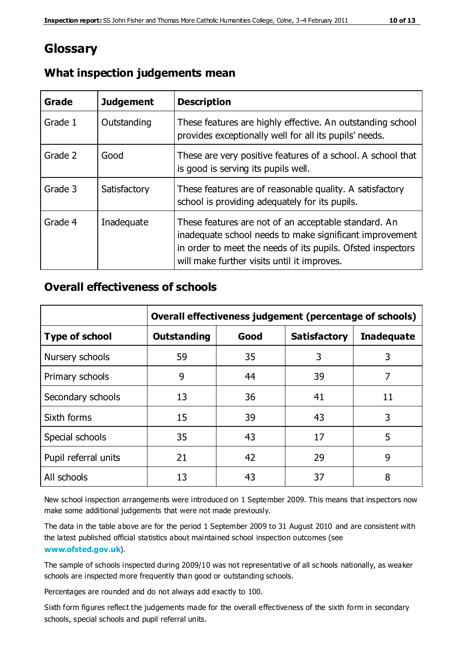# **Glossary**

| Grade   | <b>Judgement</b> | <b>Description</b>                                                                                                                                                                                                            |
|---------|------------------|-------------------------------------------------------------------------------------------------------------------------------------------------------------------------------------------------------------------------------|
| Grade 1 | Outstanding      | These features are highly effective. An outstanding school<br>provides exceptionally well for all its pupils' needs.                                                                                                          |
| Grade 2 | Good             | These are very positive features of a school. A school that<br>is good is serving its pupils well.                                                                                                                            |
| Grade 3 | Satisfactory     | These features are of reasonable quality. A satisfactory<br>school is providing adequately for its pupils.                                                                                                                    |
| Grade 4 | Inadequate       | These features are not of an acceptable standard. An<br>inadequate school needs to make significant improvement<br>in order to meet the needs of its pupils. Ofsted inspectors<br>will make further visits until it improves. |

### **What inspection judgements mean**

#### **Overall effectiveness of schools**

|                       | Overall effectiveness judgement (percentage of schools) |      |                     |                   |
|-----------------------|---------------------------------------------------------|------|---------------------|-------------------|
| <b>Type of school</b> | <b>Outstanding</b>                                      | Good | <b>Satisfactory</b> | <b>Inadequate</b> |
| Nursery schools       | 59                                                      | 35   | 3                   | 3                 |
| Primary schools       | 9                                                       | 44   | 39                  | 7                 |
| Secondary schools     | 13                                                      | 36   | 41                  | 11                |
| Sixth forms           | 15                                                      | 39   | 43                  | 3                 |
| Special schools       | 35                                                      | 43   | 17                  | 5                 |
| Pupil referral units  | 21                                                      | 42   | 29                  | 9                 |
| All schools           | 13                                                      | 43   | 37                  | 8                 |

New school inspection arrangements were introduced on 1 September 2009. This means that inspectors now make some additional judgements that were not made previously.

The data in the table above are for the period 1 September 2009 to 31 August 2010 and are consistent with the latest published official statistics about maintained school inspection outcomes (see **[www.ofsted.gov.uk](http://www.ofsted.gov.uk/)**).

The sample of schools inspected during 2009/10 was not representative of all sc hools nationally, as weaker schools are inspected more frequently than good or outstanding schools.

Percentages are rounded and do not always add exactly to 100.

Sixth form figures reflect the judgements made for the overall effectiveness of the sixth form in secondary schools, special schools and pupil referral units.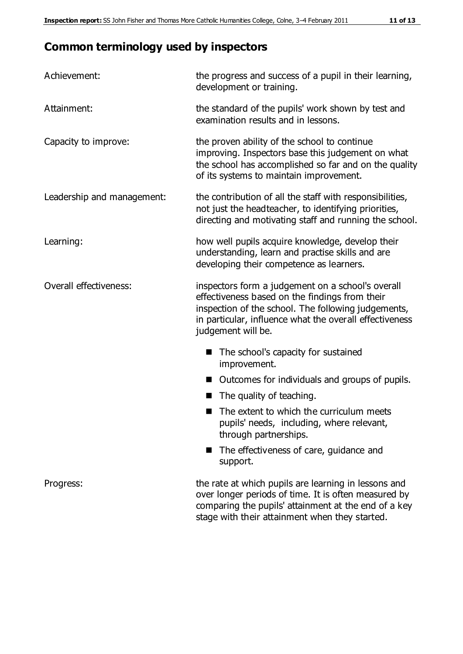# **Common terminology used by inspectors**

| Achievement:                  | the progress and success of a pupil in their learning,<br>development or training.                                                                                                                                                          |  |  |
|-------------------------------|---------------------------------------------------------------------------------------------------------------------------------------------------------------------------------------------------------------------------------------------|--|--|
| Attainment:                   | the standard of the pupils' work shown by test and<br>examination results and in lessons.                                                                                                                                                   |  |  |
| Capacity to improve:          | the proven ability of the school to continue<br>improving. Inspectors base this judgement on what<br>the school has accomplished so far and on the quality<br>of its systems to maintain improvement.                                       |  |  |
| Leadership and management:    | the contribution of all the staff with responsibilities,<br>not just the headteacher, to identifying priorities,<br>directing and motivating staff and running the school.                                                                  |  |  |
| Learning:                     | how well pupils acquire knowledge, develop their<br>understanding, learn and practise skills and are<br>developing their competence as learners.                                                                                            |  |  |
| <b>Overall effectiveness:</b> | inspectors form a judgement on a school's overall<br>effectiveness based on the findings from their<br>inspection of the school. The following judgements,<br>in particular, influence what the overall effectiveness<br>judgement will be. |  |  |
|                               | The school's capacity for sustained<br>improvement.                                                                                                                                                                                         |  |  |
|                               | Outcomes for individuals and groups of pupils.                                                                                                                                                                                              |  |  |
|                               | The quality of teaching.                                                                                                                                                                                                                    |  |  |
|                               | The extent to which the curriculum meets<br>pupils' needs, including, where relevant,<br>through partnerships.                                                                                                                              |  |  |
|                               | The effectiveness of care, guidance and<br>support.                                                                                                                                                                                         |  |  |
| Progress:                     | the rate at which pupils are learning in lessons and<br>over longer periods of time. It is often measured by<br>comparing the pupils' attainment at the end of a key                                                                        |  |  |

stage with their attainment when they started.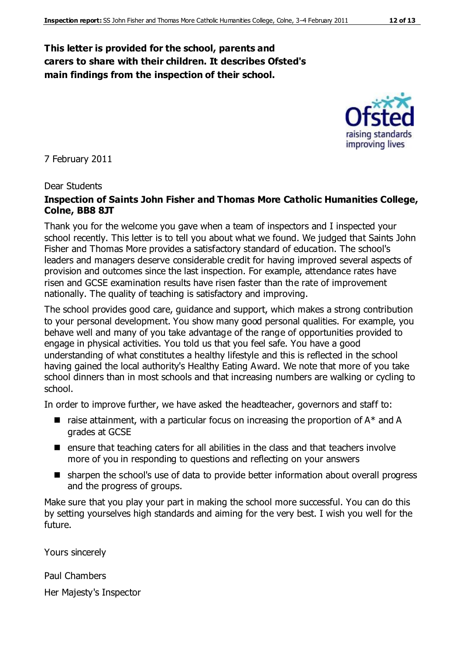#### **This letter is provided for the school, parents and carers to share with their children. It describes Ofsted's main findings from the inspection of their school.**

7 February 2011

#### Dear Students

#### **Inspection of Saints John Fisher and Thomas More Catholic Humanities College, Colne, BB8 8JT**

Thank you for the welcome you gave when a team of inspectors and I inspected your school recently. This letter is to tell you about what we found. We judged that Saints John Fisher and Thomas More provides a satisfactory standard of education. The school's leaders and managers deserve considerable credit for having improved several aspects of provision and outcomes since the last inspection. For example, attendance rates have risen and GCSE examination results have risen faster than the rate of improvement nationally. The quality of teaching is satisfactory and improving.

The school provides good care, guidance and support, which makes a strong contribution to your personal development. You show many good personal qualities. For example, you behave well and many of you take advantage of the range of opportunities provided to engage in physical activities. You told us that you feel safe. You have a good understanding of what constitutes a healthy lifestyle and this is reflected in the school having gained the local authority's Healthy Eating Award. We note that more of you take school dinners than in most schools and that increasing numbers are walking or cycling to school.

In order to improve further, we have asked the headteacher, governors and staff to:

- $\blacksquare$  raise attainment, with a particular focus on increasing the proportion of  $A^*$  and A grades at GCSE
- $\blacksquare$  ensure that teaching caters for all abilities in the class and that teachers involve more of you in responding to questions and reflecting on your answers
- sharpen the school's use of data to provide better information about overall progress and the progress of groups.

Make sure that you play your part in making the school more successful. You can do this by setting yourselves high standards and aiming for the very best. I wish you well for the future.

Yours sincerely

Paul Chambers

Her Majesty's Inspector